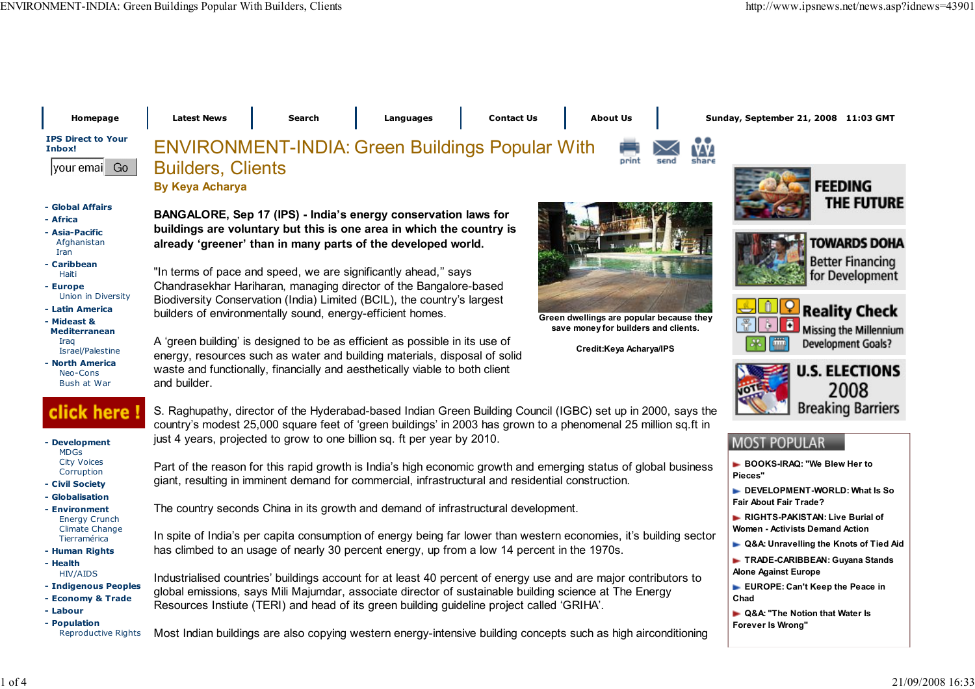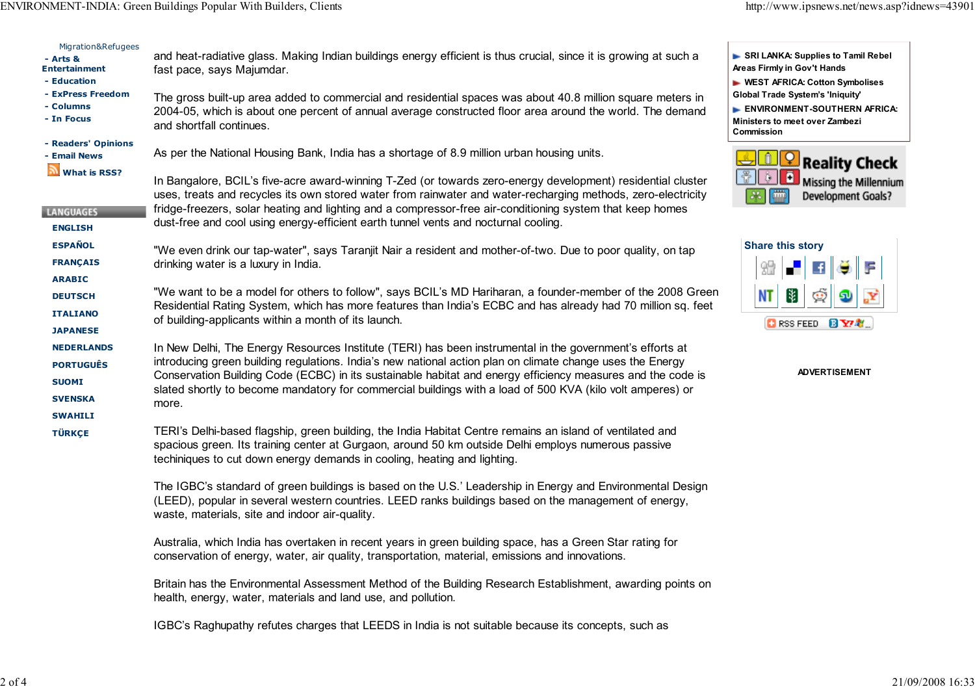ENVIRONMENT-INDIA: Green Buildings Popular With Builders, Clients

| Migration&Refugees<br>- Arts &<br><b>Entertainment</b><br>- Education<br>- ExPress Freedom | and heat-radiative glass. Making Indian buildings energy efficient is thus crucial, since it is growing at such a<br>fast pace, says Majumdar.<br>The gross built-up area added to commercial and residential spaces was about 40.8 million square meters in                                                                                                                                                                                                | SRI LANKA: Supplies to Tamil Rebel<br>Areas Firmly in Gov't Hands<br><b>EXAMPLE WEST AFRICA: Cotton Symbolises</b><br>Global Trade System's 'Iniquity'<br>ENVIRONMENT-SOUTHERN AFRICA:<br>Ministers to meet over Zambezi<br><b>Commission</b> |
|--------------------------------------------------------------------------------------------|-------------------------------------------------------------------------------------------------------------------------------------------------------------------------------------------------------------------------------------------------------------------------------------------------------------------------------------------------------------------------------------------------------------------------------------------------------------|-----------------------------------------------------------------------------------------------------------------------------------------------------------------------------------------------------------------------------------------------|
| - Columns<br>- In Focus                                                                    | 2004-05, which is about one percent of annual average constructed floor area around the world. The demand<br>and shortfall continues.                                                                                                                                                                                                                                                                                                                       |                                                                                                                                                                                                                                               |
| - Readers' Opinions<br><b>Email News</b>                                                   | As per the National Housing Bank, India has a shortage of 8.9 million urban housing units.                                                                                                                                                                                                                                                                                                                                                                  | <b>Reality Check</b>                                                                                                                                                                                                                          |
| What is RSS?<br><b>LANGUAGES</b>                                                           | In Bangalore, BCIL's five-acre award-winning T-Zed (or towards zero-energy development) residential cluster<br>uses, treats and recycles its own stored water from rainwater and water-recharging methods, zero-electricity<br>fridge-freezers, solar heating and lighting and a compressor-free air-conditioning system that keep homes                                                                                                                    | ē<br>Missing the Millennium<br>Development Goals?                                                                                                                                                                                             |
| <b>ENGLISH</b>                                                                             | dust-free and cool using energy-efficient earth tunnel vents and nocturnal cooling.                                                                                                                                                                                                                                                                                                                                                                         |                                                                                                                                                                                                                                               |
| <b>ESPAÑOL</b><br><b>FRANÇAIS</b>                                                          | "We even drink our tap-water", says Taranjit Nair a resident and mother-of-two. Due to poor quality, on tap<br>drinking water is a luxury in India.                                                                                                                                                                                                                                                                                                         | <b>Share this story</b><br>F<br>얿                                                                                                                                                                                                             |
| <b>ARABIC</b><br><b>DEUTSCH</b><br><b>ITALIANO</b><br><b>JAPANESE</b>                      | "We want to be a model for others to follow", says BCIL's MD Hariharan, a founder-member of the 2008 Green<br>Residential Rating System, which has more features than India's ECBC and has already had 70 million sq. feet<br>of building-applicants within a month of its launch.                                                                                                                                                                          | 閣<br>Š<br>ΝT<br>வ<br><b>DRSS FEED 图 Y7 制</b>                                                                                                                                                                                                  |
| <b>NEDERLANDS</b><br><b>PORTUGUÊS</b><br><b>SUOMI</b><br><b>SVENSKA</b><br><b>SWAHILI</b>  | In New Delhi, The Energy Resources Institute (TERI) has been instrumental in the government's efforts at<br>introducing green building regulations. India's new national action plan on climate change uses the Energy<br>Conservation Building Code (ECBC) in its sustainable habitat and energy efficiency measures and the code is<br>slated shortly to become mandatory for commercial buildings with a load of 500 KVA (kilo volt amperes) or<br>more. | <b>ADVERTISEMENT</b>                                                                                                                                                                                                                          |
| <b>TÜRKÇE</b>                                                                              | TERI's Delhi-based flagship, green building, the India Habitat Centre remains an island of ventilated and<br>spacious green. Its training center at Gurgaon, around 50 km outside Delhi employs numerous passive<br>techiniques to cut down energy demands in cooling, heating and lighting.                                                                                                                                                                |                                                                                                                                                                                                                                               |
|                                                                                            | The IGBC's standard of green buildings is based on the U.S.' Leadership in Energy and Environmental Design<br>(LEED), popular in several western countries. LEED ranks buildings based on the management of energy,<br>waste, materials, site and indoor air-quality.                                                                                                                                                                                       |                                                                                                                                                                                                                                               |
|                                                                                            | Australia, which India has overtaken in recent years in green building space, has a Green Star rating for<br>conservation of energy, water, air quality, transportation, material, emissions and innovations.                                                                                                                                                                                                                                               |                                                                                                                                                                                                                                               |
|                                                                                            | Britain has the Environmental Assessment Method of the Building Research Establishment, awarding points on<br>health, energy, water, materials and land use, and pollution.                                                                                                                                                                                                                                                                                 |                                                                                                                                                                                                                                               |
|                                                                                            | IGBC's Raghupathy refutes charges that LEEDS in India is not suitable because its concepts, such as                                                                                                                                                                                                                                                                                                                                                         |                                                                                                                                                                                                                                               |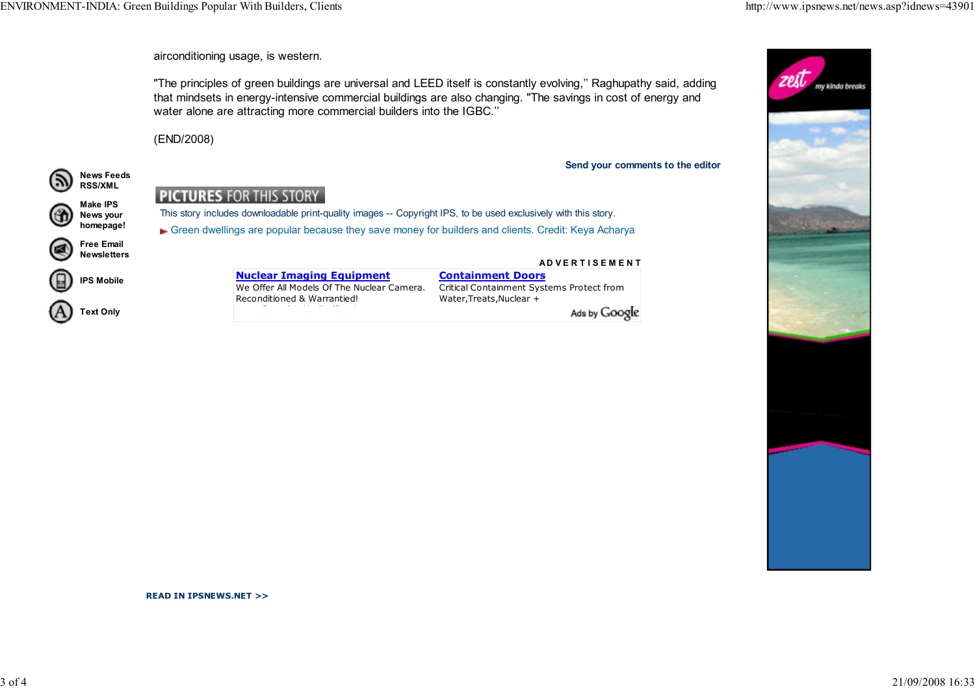

airconditioning usage, is western.

"The principles of green buildings are universal and LEED itself is constantly evolving,'' Raghupathy said, addingthat mindsets in energy-intensive commercial buildings are also changing. "The savings in cost of energy andwater alone are attracting more commercial builders into the IGBC.''

(END/2008)

News Feeds

G

(日)

Send your comments to the editor



We Offer All Models Of The Nuclear Camera.

A D V E R T I S E M E N T Containment Doors Critical Containment Systems Protect fromWater,Treats,Nuclear +

Ads by Google

READ IN IPSNEWS.NET >>